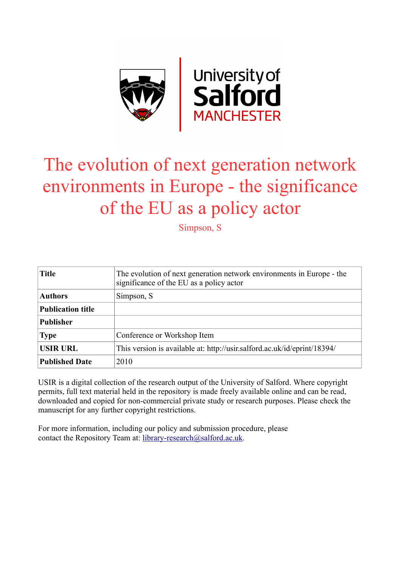

# The evolution of next generation network environments in Europe - the significance of the EU as a policy actor

Simpson, S

| <b>Title</b>             | The evolution of next generation network environments in Europe - the<br>significance of the EU as a policy actor |
|--------------------------|-------------------------------------------------------------------------------------------------------------------|
| <b>Authors</b>           | Simpson, S.                                                                                                       |
| <b>Publication title</b> |                                                                                                                   |
| <b>Publisher</b>         |                                                                                                                   |
| <b>Type</b>              | Conference or Workshop Item                                                                                       |
| <b>USIR URL</b>          | This version is available at: http://usir.salford.ac.uk/id/eprint/18394/                                          |
| <b>Published Date</b>    | 2010                                                                                                              |

USIR is a digital collection of the research output of the University of Salford. Where copyright permits, full text material held in the repository is made freely available online and can be read, downloaded and copied for non-commercial private study or research purposes. Please check the manuscript for any further copyright restrictions.

For more information, including our policy and submission procedure, please contact the Repository Team at: [library-research@salford.ac.uk.](mailto:library-research@salford.ac.uk)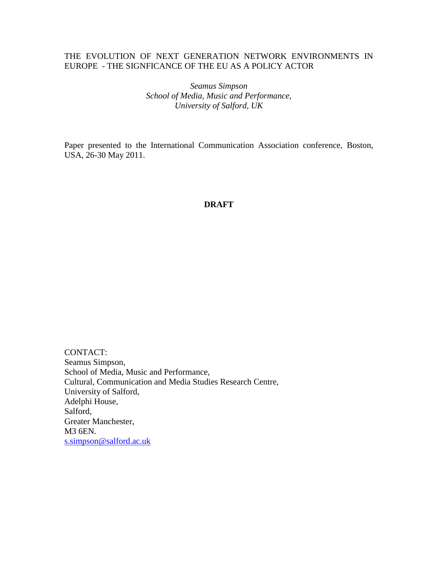# THE EVOLUTION OF NEXT GENERATION NETWORK ENVIRONMENTS IN EUROPE - THE SIGNFICANCE OF THE EU AS A POLICY ACTOR

*Seamus Simpson School of Media, Music and Performance, University of Salford, UK*

Paper presented to the International Communication Association conference, Boston, USA, 26-30 May 2011.

## **DRAFT**

CONTACT: Seamus Simpson, School of Media, Music and Performance, Cultural, Communication and Media Studies Research Centre, University of Salford, Adelphi House, Salford, Greater Manchester, M3 6EN. [s.simpson@salford.ac.uk](mailto:s.simpson@salford.ac.uk)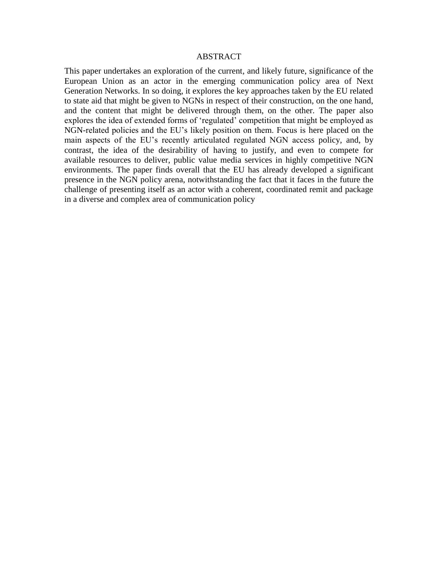### ABSTRACT

This paper undertakes an exploration of the current, and likely future, significance of the European Union as an actor in the emerging communication policy area of Next Generation Networks. In so doing, it explores the key approaches taken by the EU related to state aid that might be given to NGNs in respect of their construction, on the one hand, and the content that might be delivered through them, on the other. The paper also explores the idea of extended forms of "regulated" competition that might be employed as NGN-related policies and the EU"s likely position on them. Focus is here placed on the main aspects of the EU"s recently articulated regulated NGN access policy, and, by contrast, the idea of the desirability of having to justify, and even to compete for available resources to deliver, public value media services in highly competitive NGN environments. The paper finds overall that the EU has already developed a significant presence in the NGN policy arena, notwithstanding the fact that it faces in the future the challenge of presenting itself as an actor with a coherent, coordinated remit and package in a diverse and complex area of communication policy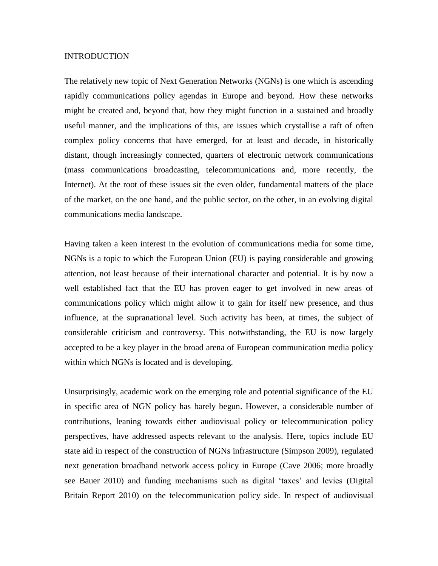#### **INTRODUCTION**

The relatively new topic of Next Generation Networks (NGNs) is one which is ascending rapidly communications policy agendas in Europe and beyond. How these networks might be created and, beyond that, how they might function in a sustained and broadly useful manner, and the implications of this, are issues which crystallise a raft of often complex policy concerns that have emerged, for at least and decade, in historically distant, though increasingly connected, quarters of electronic network communications (mass communications broadcasting, telecommunications and, more recently, the Internet). At the root of these issues sit the even older, fundamental matters of the place of the market, on the one hand, and the public sector, on the other, in an evolving digital communications media landscape.

Having taken a keen interest in the evolution of communications media for some time, NGNs is a topic to which the European Union (EU) is paying considerable and growing attention, not least because of their international character and potential. It is by now a well established fact that the EU has proven eager to get involved in new areas of communications policy which might allow it to gain for itself new presence, and thus influence, at the supranational level. Such activity has been, at times, the subject of considerable criticism and controversy. This notwithstanding, the EU is now largely accepted to be a key player in the broad arena of European communication media policy within which NGNs is located and is developing.

Unsurprisingly, academic work on the emerging role and potential significance of the EU in specific area of NGN policy has barely begun. However, a considerable number of contributions, leaning towards either audiovisual policy or telecommunication policy perspectives, have addressed aspects relevant to the analysis. Here, topics include EU state aid in respect of the construction of NGNs infrastructure (Simpson 2009), regulated next generation broadband network access policy in Europe (Cave 2006; more broadly see Bauer 2010) and funding mechanisms such as digital "taxes" and levies (Digital Britain Report 2010) on the telecommunication policy side. In respect of audiovisual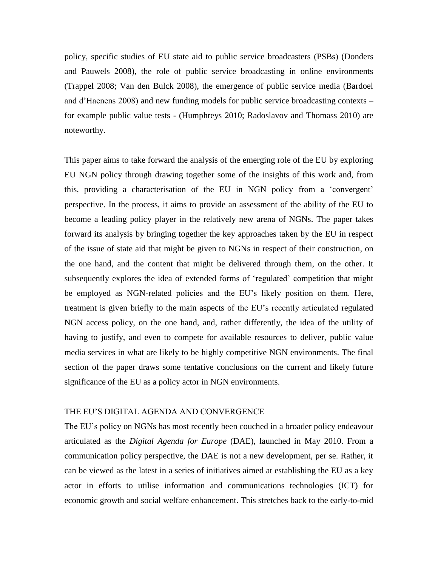policy, specific studies of EU state aid to public service broadcasters (PSBs) (Donders and Pauwels 2008), the role of public service broadcasting in online environments (Trappel 2008; Van den Bulck 2008), the emergence of public service media (Bardoel and d"Haenens 2008) and new funding models for public service broadcasting contexts – for example public value tests - (Humphreys 2010; Radoslavov and Thomass 2010) are noteworthy.

This paper aims to take forward the analysis of the emerging role of the EU by exploring EU NGN policy through drawing together some of the insights of this work and, from this, providing a characterisation of the EU in NGN policy from a "convergent" perspective. In the process, it aims to provide an assessment of the ability of the EU to become a leading policy player in the relatively new arena of NGNs. The paper takes forward its analysis by bringing together the key approaches taken by the EU in respect of the issue of state aid that might be given to NGNs in respect of their construction, on the one hand, and the content that might be delivered through them, on the other. It subsequently explores the idea of extended forms of 'regulated' competition that might be employed as NGN-related policies and the EU"s likely position on them. Here, treatment is given briefly to the main aspects of the EU"s recently articulated regulated NGN access policy, on the one hand, and, rather differently, the idea of the utility of having to justify, and even to compete for available resources to deliver, public value media services in what are likely to be highly competitive NGN environments. The final section of the paper draws some tentative conclusions on the current and likely future significance of the EU as a policy actor in NGN environments.

#### THE EU"S DIGITAL AGENDA AND CONVERGENCE

The EU"s policy on NGNs has most recently been couched in a broader policy endeavour articulated as the *Digital Agenda for Europe* (DAE), launched in May 2010. From a communication policy perspective, the DAE is not a new development, per se. Rather, it can be viewed as the latest in a series of initiatives aimed at establishing the EU as a key actor in efforts to utilise information and communications technologies (ICT) for economic growth and social welfare enhancement. This stretches back to the early-to-mid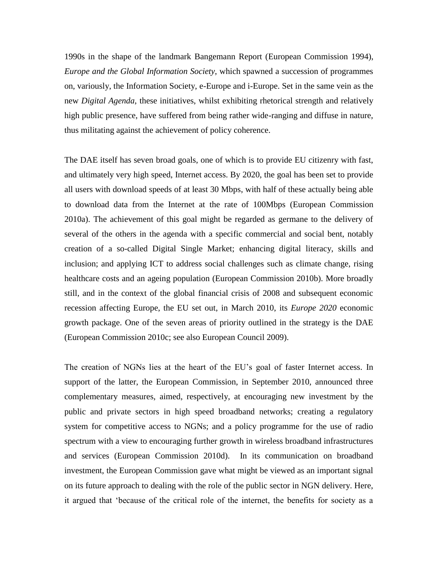1990s in the shape of the landmark Bangemann Report (European Commission 1994), *Europe and the Global Information Society*, which spawned a succession of programmes on, variously, the Information Society, e-Europe and i-Europe. Set in the same vein as the new *Digital Agenda*, these initiatives, whilst exhibiting rhetorical strength and relatively high public presence, have suffered from being rather wide-ranging and diffuse in nature, thus militating against the achievement of policy coherence.

The DAE itself has seven broad goals, one of which is to provide EU citizenry with fast, and ultimately very high speed, Internet access. By 2020, the goal has been set to provide all users with download speeds of at least 30 Mbps, with half of these actually being able to download data from the Internet at the rate of 100Mbps (European Commission 2010a). The achievement of this goal might be regarded as germane to the delivery of several of the others in the agenda with a specific commercial and social bent, notably creation of a so-called Digital Single Market; enhancing digital literacy, skills and inclusion; and applying ICT to address social challenges such as climate change, rising healthcare costs and an ageing population (European Commission 2010b). More broadly still, and in the context of the global financial crisis of 2008 and subsequent economic recession affecting Europe, the EU set out, in March 2010, its *Europe 2020* economic growth package. One of the seven areas of priority outlined in the strategy is the DAE (European Commission 2010c; see also European Council 2009).

The creation of NGNs lies at the heart of the EU"s goal of faster Internet access. In support of the latter, the European Commission, in September 2010, announced three complementary measures, aimed, respectively, at encouraging new investment by the public and private sectors in high speed broadband networks; creating a regulatory system for competitive access to NGNs; and a policy programme for the use of radio spectrum with a view to encouraging further growth in wireless broadband infrastructures and services (European Commission 2010d). In its communication on broadband investment, the European Commission gave what might be viewed as an important signal on its future approach to dealing with the role of the public sector in NGN delivery. Here, it argued that "because of the critical role of the internet, the benefits for society as a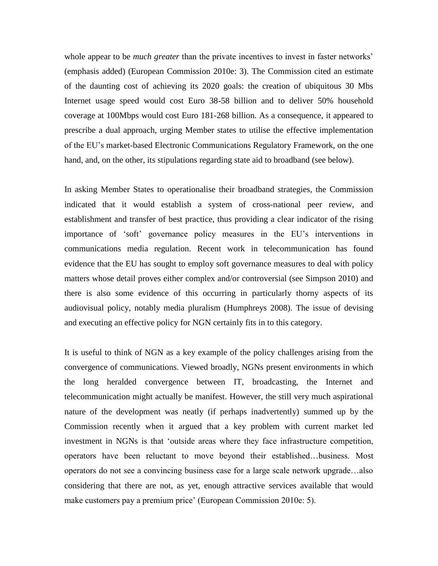whole appear to be *much greater* than the private incentives to invest in faster networks' (emphasis added) (European Commission 2010e: 3). The Commission cited an estimate of the daunting cost of achieving its 2020 goals: the creation of ubiquitous 30 Mbs Internet usage speed would cost Euro 38-58 billion and to deliver 50% household coverage at 100Mbps would cost Euro 181-268 billion. As a consequence, it appeared to prescribe a dual approach, urging Member states to utilise the effective implementation of the EU"s market-based Electronic Communications Regulatory Framework, on the one hand, and, on the other, its stipulations regarding state aid to broadband (see below).

In asking Member States to operationalise their broadband strategies, the Commission indicated that it would establish a system of cross-national peer review, and establishment and transfer of best practice, thus providing a clear indicator of the rising importance of "soft" governance policy measures in the EU"s interventions in communications media regulation. Recent work in telecommunication has found evidence that the EU has sought to employ soft governance measures to deal with policy matters whose detail proves either complex and/or controversial (see Simpson 2010) and there is also some evidence of this occurring in particularly thorny aspects of its audiovisual policy, notably media pluralism (Humphreys 2008). The issue of devising and executing an effective policy for NGN certainly fits in to this category.

It is useful to think of NGN as a key example of the policy challenges arising from the convergence of communications. Viewed broadly, NGNs present environments in which the long heralded convergence between IT, broadcasting, the Internet and telecommunication might actually be manifest. However, the still very much aspirational nature of the development was neatly (if perhaps inadvertently) summed up by the Commission recently when it argued that a key problem with current market led investment in NGNs is that "outside areas where they face infrastructure competition, operators have been reluctant to move beyond their established…business. Most operators do not see a convincing business case for a large scale network upgrade…also considering that there are not, as yet, enough attractive services available that would make customers pay a premium price' (European Commission 2010e: 5).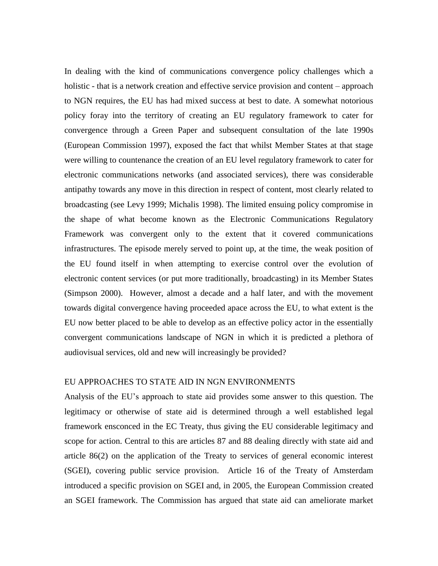In dealing with the kind of communications convergence policy challenges which a holistic - that is a network creation and effective service provision and content – approach to NGN requires, the EU has had mixed success at best to date. A somewhat notorious policy foray into the territory of creating an EU regulatory framework to cater for convergence through a Green Paper and subsequent consultation of the late 1990s (European Commission 1997), exposed the fact that whilst Member States at that stage were willing to countenance the creation of an EU level regulatory framework to cater for electronic communications networks (and associated services), there was considerable antipathy towards any move in this direction in respect of content, most clearly related to broadcasting (see Levy 1999; Michalis 1998). The limited ensuing policy compromise in the shape of what become known as the Electronic Communications Regulatory Framework was convergent only to the extent that it covered communications infrastructures. The episode merely served to point up, at the time, the weak position of the EU found itself in when attempting to exercise control over the evolution of electronic content services (or put more traditionally, broadcasting) in its Member States (Simpson 2000). However, almost a decade and a half later, and with the movement towards digital convergence having proceeded apace across the EU, to what extent is the EU now better placed to be able to develop as an effective policy actor in the essentially convergent communications landscape of NGN in which it is predicted a plethora of audiovisual services, old and new will increasingly be provided?

## EU APPROACHES TO STATE AID IN NGN ENVIRONMENTS

Analysis of the EU"s approach to state aid provides some answer to this question. The legitimacy or otherwise of state aid is determined through a well established legal framework ensconced in the EC Treaty, thus giving the EU considerable legitimacy and scope for action. Central to this are articles 87 and 88 dealing directly with state aid and article 86(2) on the application of the Treaty to services of general economic interest (SGEI), covering public service provision. Article 16 of the Treaty of Amsterdam introduced a specific provision on SGEI and, in 2005, the European Commission created an SGEI framework. The Commission has argued that state aid can ameliorate market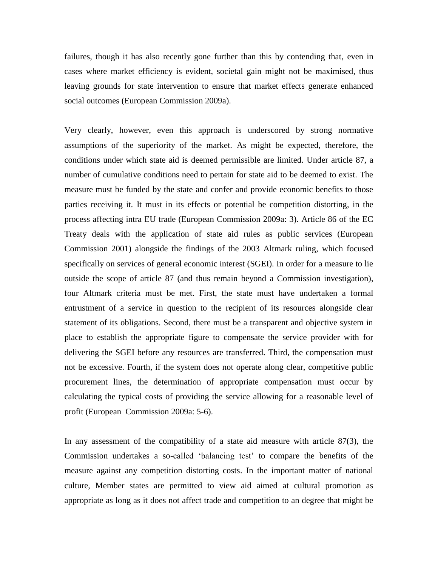failures, though it has also recently gone further than this by contending that, even in cases where market efficiency is evident, societal gain might not be maximised, thus leaving grounds for state intervention to ensure that market effects generate enhanced social outcomes (European Commission 2009a).

Very clearly, however, even this approach is underscored by strong normative assumptions of the superiority of the market. As might be expected, therefore, the conditions under which state aid is deemed permissible are limited. Under article 87, a number of cumulative conditions need to pertain for state aid to be deemed to exist. The measure must be funded by the state and confer and provide economic benefits to those parties receiving it. It must in its effects or potential be competition distorting, in the process affecting intra EU trade (European Commission 2009a: 3). Article 86 of the EC Treaty deals with the application of state aid rules as public services (European Commission 2001) alongside the findings of the 2003 Altmark ruling, which focused specifically on services of general economic interest (SGEI). In order for a measure to lie outside the scope of article 87 (and thus remain beyond a Commission investigation), four Altmark criteria must be met. First, the state must have undertaken a formal entrustment of a service in question to the recipient of its resources alongside clear statement of its obligations. Second, there must be a transparent and objective system in place to establish the appropriate figure to compensate the service provider with for delivering the SGEI before any resources are transferred. Third, the compensation must not be excessive. Fourth, if the system does not operate along clear, competitive public procurement lines, the determination of appropriate compensation must occur by calculating the typical costs of providing the service allowing for a reasonable level of profit (European Commission 2009a: 5-6).

In any assessment of the compatibility of a state aid measure with article 87(3), the Commission undertakes a so-called "balancing test" to compare the benefits of the measure against any competition distorting costs. In the important matter of national culture, Member states are permitted to view aid aimed at cultural promotion as appropriate as long as it does not affect trade and competition to an degree that might be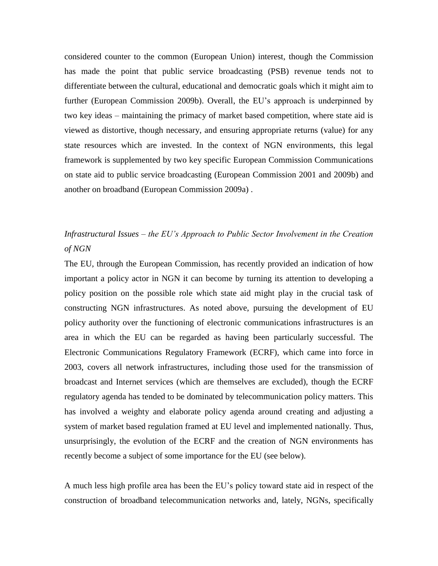considered counter to the common (European Union) interest, though the Commission has made the point that public service broadcasting (PSB) revenue tends not to differentiate between the cultural, educational and democratic goals which it might aim to further (European Commission 2009b). Overall, the EU"s approach is underpinned by two key ideas – maintaining the primacy of market based competition, where state aid is viewed as distortive, though necessary, and ensuring appropriate returns (value) for any state resources which are invested. In the context of NGN environments, this legal framework is supplemented by two key specific European Commission Communications on state aid to public service broadcasting (European Commission 2001 and 2009b) and another on broadband (European Commission 2009a) .

# *Infrastructural Issues – the EU's Approach to Public Sector Involvement in the Creation of NGN*

The EU, through the European Commission, has recently provided an indication of how important a policy actor in NGN it can become by turning its attention to developing a policy position on the possible role which state aid might play in the crucial task of constructing NGN infrastructures. As noted above, pursuing the development of EU policy authority over the functioning of electronic communications infrastructures is an area in which the EU can be regarded as having been particularly successful. The Electronic Communications Regulatory Framework (ECRF), which came into force in 2003, covers all network infrastructures, including those used for the transmission of broadcast and Internet services (which are themselves are excluded), though the ECRF regulatory agenda has tended to be dominated by telecommunication policy matters. This has involved a weighty and elaborate policy agenda around creating and adjusting a system of market based regulation framed at EU level and implemented nationally. Thus, unsurprisingly, the evolution of the ECRF and the creation of NGN environments has recently become a subject of some importance for the EU (see below).

A much less high profile area has been the EU"s policy toward state aid in respect of the construction of broadband telecommunication networks and, lately, NGNs, specifically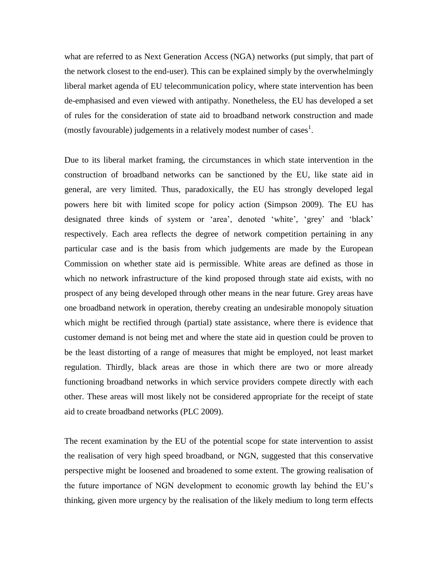what are referred to as Next Generation Access (NGA) networks (put simply, that part of the network closest to the end-user). This can be explained simply by the overwhelmingly liberal market agenda of EU telecommunication policy, where state intervention has been de-emphasised and even viewed with antipathy. Nonetheless, the EU has developed a set of rules for the consideration of state aid to broadband network construction and made (mostly favourable) judgements in a relatively modest number of cases<sup>1</sup>.

Due to its liberal market framing, the circumstances in which state intervention in the construction of broadband networks can be sanctioned by the EU, like state aid in general, are very limited. Thus, paradoxically, the EU has strongly developed legal powers here bit with limited scope for policy action (Simpson 2009). The EU has designated three kinds of system or 'area', denoted 'white', 'grey' and 'black' respectively. Each area reflects the degree of network competition pertaining in any particular case and is the basis from which judgements are made by the European Commission on whether state aid is permissible. White areas are defined as those in which no network infrastructure of the kind proposed through state aid exists, with no prospect of any being developed through other means in the near future. Grey areas have one broadband network in operation, thereby creating an undesirable monopoly situation which might be rectified through (partial) state assistance, where there is evidence that customer demand is not being met and where the state aid in question could be proven to be the least distorting of a range of measures that might be employed, not least market regulation. Thirdly, black areas are those in which there are two or more already functioning broadband networks in which service providers compete directly with each other. These areas will most likely not be considered appropriate for the receipt of state aid to create broadband networks (PLC 2009).

The recent examination by the EU of the potential scope for state intervention to assist the realisation of very high speed broadband, or NGN, suggested that this conservative perspective might be loosened and broadened to some extent. The growing realisation of the future importance of NGN development to economic growth lay behind the EU"s thinking, given more urgency by the realisation of the likely medium to long term effects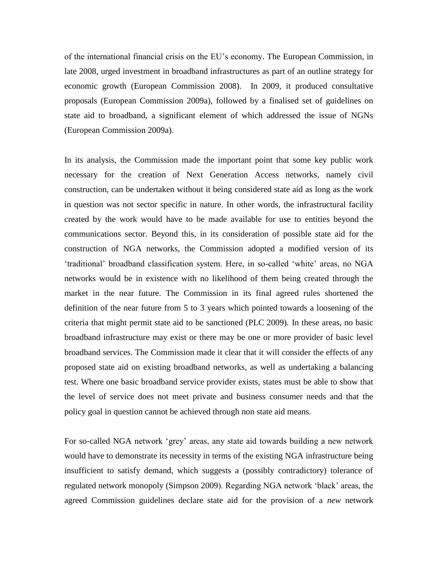of the international financial crisis on the EU"s economy. The European Commission, in late 2008, urged investment in broadband infrastructures as part of an outline strategy for economic growth (European Commission 2008). In 2009, it produced consultative proposals (European Commission 2009a), followed by a finalised set of guidelines on state aid to broadband, a significant element of which addressed the issue of NGNs (European Commission 2009a).

In its analysis, the Commission made the important point that some key public work necessary for the creation of Next Generation Access networks, namely civil construction, can be undertaken without it being considered state aid as long as the work in question was not sector specific in nature. In other words, the infrastructural facility created by the work would have to be made available for use to entities beyond the communications sector. Beyond this, in its consideration of possible state aid for the construction of NGA networks, the Commission adopted a modified version of its "traditional" broadband classification system. Here, in so-called "white" areas, no NGA networks would be in existence with no likelihood of them being created through the market in the near future. The Commission in its final agreed rules shortened the definition of the near future from 5 to 3 years which pointed towards a loosening of the criteria that might permit state aid to be sanctioned (PLC 2009). In these areas, no basic broadband infrastructure may exist or there may be one or more provider of basic level broadband services. The Commission made it clear that it will consider the effects of any proposed state aid on existing broadband networks, as well as undertaking a balancing test. Where one basic broadband service provider exists, states must be able to show that the level of service does not meet private and business consumer needs and that the policy goal in question cannot be achieved through non state aid means.

For so-called NGA network 'grey' areas, any state aid towards building a new network would have to demonstrate its necessity in terms of the existing NGA infrastructure being insufficient to satisfy demand, which suggests a (possibly contradictory) tolerance of regulated network monopoly (Simpson 2009). Regarding NGA network "black" areas, the agreed Commission guidelines declare state aid for the provision of a *new* network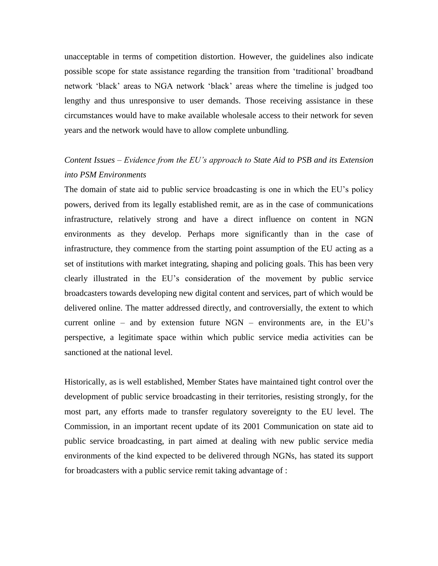unacceptable in terms of competition distortion. However, the guidelines also indicate possible scope for state assistance regarding the transition from "traditional" broadband network "black" areas to NGA network "black" areas where the timeline is judged too lengthy and thus unresponsive to user demands. Those receiving assistance in these circumstances would have to make available wholesale access to their network for seven years and the network would have to allow complete unbundling.

# *Content Issues – Evidence from the EU's approach to State Aid to PSB and its Extension into PSM Environments*

The domain of state aid to public service broadcasting is one in which the EU"s policy powers, derived from its legally established remit, are as in the case of communications infrastructure, relatively strong and have a direct influence on content in NGN environments as they develop. Perhaps more significantly than in the case of infrastructure, they commence from the starting point assumption of the EU acting as a set of institutions with market integrating, shaping and policing goals. This has been very clearly illustrated in the EU"s consideration of the movement by public service broadcasters towards developing new digital content and services, part of which would be delivered online. The matter addressed directly, and controversially, the extent to which current online – and by extension future  $NGN$  – environments are, in the EU's perspective, a legitimate space within which public service media activities can be sanctioned at the national level.

Historically, as is well established, Member States have maintained tight control over the development of public service broadcasting in their territories, resisting strongly, for the most part, any efforts made to transfer regulatory sovereignty to the EU level. The Commission, in an important recent update of its 2001 Communication on state aid to public service broadcasting, in part aimed at dealing with new public service media environments of the kind expected to be delivered through NGNs, has stated its support for broadcasters with a public service remit taking advantage of :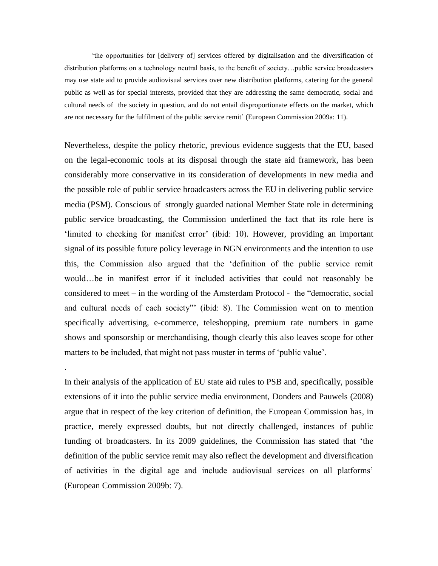"the opportunities for [delivery of] services offered by digitalisation and the diversification of distribution platforms on a technology neutral basis, to the benefit of society...public service broadcasters may use state aid to provide audiovisual services over new distribution platforms, catering for the general public as well as for special interests, provided that they are addressing the same democratic, social and cultural needs of the society in question, and do not entail disproportionate effects on the market, which are not necessary for the fulfilment of the public service remit' (European Commission 2009a: 11).

Nevertheless, despite the policy rhetoric, previous evidence suggests that the EU, based on the legal-economic tools at its disposal through the state aid framework, has been considerably more conservative in its consideration of developments in new media and the possible role of public service broadcasters across the EU in delivering public service media (PSM). Conscious of strongly guarded national Member State role in determining public service broadcasting, the Commission underlined the fact that its role here is 'limited to checking for manifest error' (ibid: 10). However, providing an important signal of its possible future policy leverage in NGN environments and the intention to use this, the Commission also argued that the "definition of the public service remit would…be in manifest error if it included activities that could not reasonably be considered to meet – in the wording of the Amsterdam Protocol - the "democratic, social and cultural needs of each society"" (ibid: 8). The Commission went on to mention specifically advertising, e-commerce, teleshopping, premium rate numbers in game shows and sponsorship or merchandising, though clearly this also leaves scope for other matters to be included, that might not pass muster in terms of "public value".

In their analysis of the application of EU state aid rules to PSB and, specifically, possible extensions of it into the public service media environment, Donders and Pauwels (2008) argue that in respect of the key criterion of definition, the European Commission has, in practice, merely expressed doubts, but not directly challenged, instances of public funding of broadcasters. In its 2009 guidelines, the Commission has stated that "the definition of the public service remit may also reflect the development and diversification of activities in the digital age and include audiovisual services on all platforms" (European Commission 2009b: 7).

.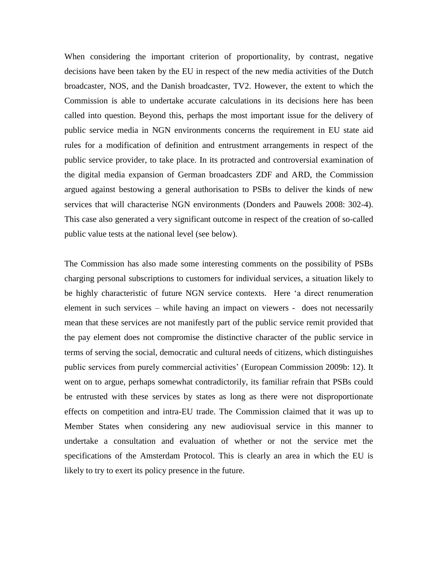When considering the important criterion of proportionality, by contrast, negative decisions have been taken by the EU in respect of the new media activities of the Dutch broadcaster, NOS, and the Danish broadcaster, TV2. However, the extent to which the Commission is able to undertake accurate calculations in its decisions here has been called into question. Beyond this, perhaps the most important issue for the delivery of public service media in NGN environments concerns the requirement in EU state aid rules for a modification of definition and entrustment arrangements in respect of the public service provider, to take place. In its protracted and controversial examination of the digital media expansion of German broadcasters ZDF and ARD, the Commission argued against bestowing a general authorisation to PSBs to deliver the kinds of new services that will characterise NGN environments (Donders and Pauwels 2008: 302-4). This case also generated a very significant outcome in respect of the creation of so-called public value tests at the national level (see below).

The Commission has also made some interesting comments on the possibility of PSBs charging personal subscriptions to customers for individual services, a situation likely to be highly characteristic of future NGN service contexts. Here "a direct renumeration element in such services – while having an impact on viewers - does not necessarily mean that these services are not manifestly part of the public service remit provided that the pay element does not compromise the distinctive character of the public service in terms of serving the social, democratic and cultural needs of citizens, which distinguishes public services from purely commercial activities" (European Commission 2009b: 12). It went on to argue, perhaps somewhat contradictorily, its familiar refrain that PSBs could be entrusted with these services by states as long as there were not disproportionate effects on competition and intra-EU trade. The Commission claimed that it was up to Member States when considering any new audiovisual service in this manner to undertake a consultation and evaluation of whether or not the service met the specifications of the Amsterdam Protocol. This is clearly an area in which the EU is likely to try to exert its policy presence in the future.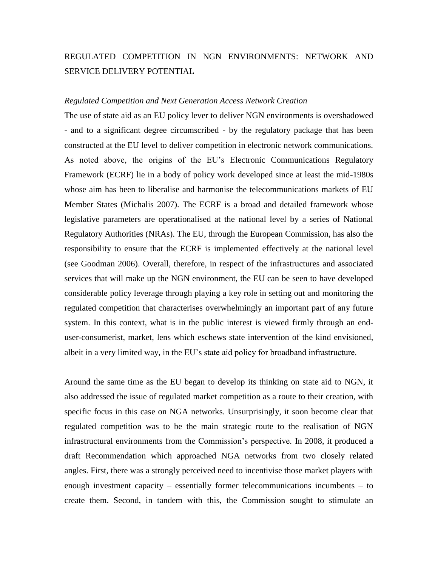# REGULATED COMPETITION IN NGN ENVIRONMENTS: NETWORK AND SERVICE DELIVERY POTENTIAL

#### *Regulated Competition and Next Generation Access Network Creation*

The use of state aid as an EU policy lever to deliver NGN environments is overshadowed - and to a significant degree circumscribed - by the regulatory package that has been constructed at the EU level to deliver competition in electronic network communications. As noted above, the origins of the EU's Electronic Communications Regulatory Framework (ECRF) lie in a body of policy work developed since at least the mid-1980s whose aim has been to liberalise and harmonise the telecommunications markets of EU Member States (Michalis 2007). The ECRF is a broad and detailed framework whose legislative parameters are operationalised at the national level by a series of National Regulatory Authorities (NRAs). The EU, through the European Commission, has also the responsibility to ensure that the ECRF is implemented effectively at the national level (see Goodman 2006). Overall, therefore, in respect of the infrastructures and associated services that will make up the NGN environment, the EU can be seen to have developed considerable policy leverage through playing a key role in setting out and monitoring the regulated competition that characterises overwhelmingly an important part of any future system. In this context, what is in the public interest is viewed firmly through an enduser-consumerist, market, lens which eschews state intervention of the kind envisioned, albeit in a very limited way, in the EU"s state aid policy for broadband infrastructure.

Around the same time as the EU began to develop its thinking on state aid to NGN, it also addressed the issue of regulated market competition as a route to their creation, with specific focus in this case on NGA networks. Unsurprisingly, it soon become clear that regulated competition was to be the main strategic route to the realisation of NGN infrastructural environments from the Commission"s perspective. In 2008, it produced a draft Recommendation which approached NGA networks from two closely related angles. First, there was a strongly perceived need to incentivise those market players with enough investment capacity – essentially former telecommunications incumbents – to create them. Second, in tandem with this, the Commission sought to stimulate an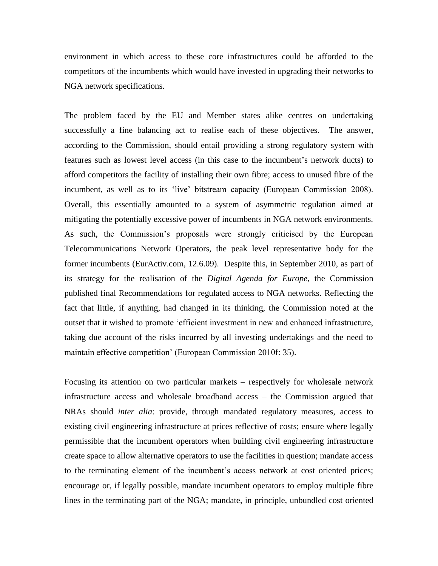environment in which access to these core infrastructures could be afforded to the competitors of the incumbents which would have invested in upgrading their networks to NGA network specifications.

The problem faced by the EU and Member states alike centres on undertaking successfully a fine balancing act to realise each of these objectives. The answer, according to the Commission, should entail providing a strong regulatory system with features such as lowest level access (in this case to the incumbent"s network ducts) to afford competitors the facility of installing their own fibre; access to unused fibre of the incumbent, as well as to its "live" bitstream capacity (European Commission 2008). Overall, this essentially amounted to a system of asymmetric regulation aimed at mitigating the potentially excessive power of incumbents in NGA network environments. As such, the Commission"s proposals were strongly criticised by the European Telecommunications Network Operators, the peak level representative body for the former incumbents (EurActiv.com, 12.6.09). Despite this, in September 2010, as part of its strategy for the realisation of the *Digital Agenda for Europe*, the Commission published final Recommendations for regulated access to NGA networks. Reflecting the fact that little, if anything, had changed in its thinking, the Commission noted at the outset that it wished to promote "efficient investment in new and enhanced infrastructure, taking due account of the risks incurred by all investing undertakings and the need to maintain effective competition' (European Commission 2010f: 35).

Focusing its attention on two particular markets – respectively for wholesale network infrastructure access and wholesale broadband access – the Commission argued that NRAs should *inter alia*: provide, through mandated regulatory measures, access to existing civil engineering infrastructure at prices reflective of costs; ensure where legally permissible that the incumbent operators when building civil engineering infrastructure create space to allow alternative operators to use the facilities in question; mandate access to the terminating element of the incumbent"s access network at cost oriented prices; encourage or, if legally possible, mandate incumbent operators to employ multiple fibre lines in the terminating part of the NGA; mandate, in principle, unbundled cost oriented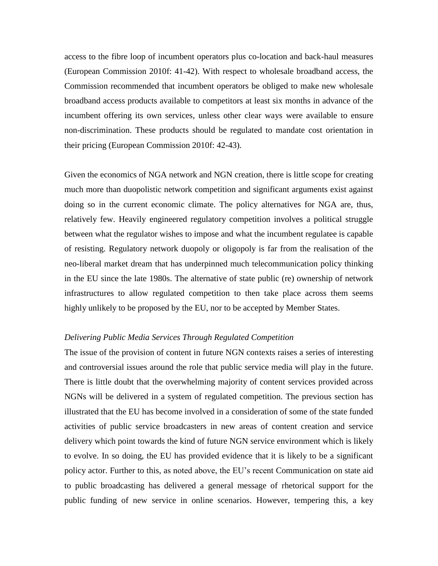access to the fibre loop of incumbent operators plus co-location and back-haul measures (European Commission 2010f: 41-42). With respect to wholesale broadband access, the Commission recommended that incumbent operators be obliged to make new wholesale broadband access products available to competitors at least six months in advance of the incumbent offering its own services, unless other clear ways were available to ensure non-discrimination. These products should be regulated to mandate cost orientation in their pricing (European Commission 2010f: 42-43).

Given the economics of NGA network and NGN creation, there is little scope for creating much more than duopolistic network competition and significant arguments exist against doing so in the current economic climate. The policy alternatives for NGA are, thus, relatively few. Heavily engineered regulatory competition involves a political struggle between what the regulator wishes to impose and what the incumbent regulatee is capable of resisting. Regulatory network duopoly or oligopoly is far from the realisation of the neo-liberal market dream that has underpinned much telecommunication policy thinking in the EU since the late 1980s. The alternative of state public (re) ownership of network infrastructures to allow regulated competition to then take place across them seems highly unlikely to be proposed by the EU, nor to be accepted by Member States.

### *Delivering Public Media Services Through Regulated Competition*

The issue of the provision of content in future NGN contexts raises a series of interesting and controversial issues around the role that public service media will play in the future. There is little doubt that the overwhelming majority of content services provided across NGNs will be delivered in a system of regulated competition. The previous section has illustrated that the EU has become involved in a consideration of some of the state funded activities of public service broadcasters in new areas of content creation and service delivery which point towards the kind of future NGN service environment which is likely to evolve. In so doing, the EU has provided evidence that it is likely to be a significant policy actor. Further to this, as noted above, the EU"s recent Communication on state aid to public broadcasting has delivered a general message of rhetorical support for the public funding of new service in online scenarios. However, tempering this, a key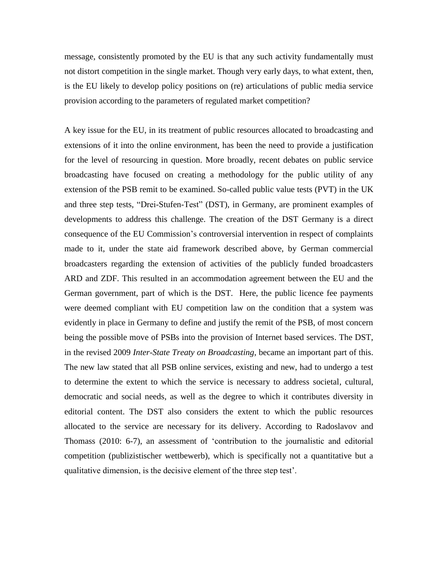message, consistently promoted by the EU is that any such activity fundamentally must not distort competition in the single market. Though very early days, to what extent, then, is the EU likely to develop policy positions on (re) articulations of public media service provision according to the parameters of regulated market competition?

A key issue for the EU, in its treatment of public resources allocated to broadcasting and extensions of it into the online environment, has been the need to provide a justification for the level of resourcing in question. More broadly, recent debates on public service broadcasting have focused on creating a methodology for the public utility of any extension of the PSB remit to be examined. So-called public value tests (PVT) in the UK and three step tests, "Drei-Stufen-Test" (DST), in Germany, are prominent examples of developments to address this challenge. The creation of the DST Germany is a direct consequence of the EU Commission"s controversial intervention in respect of complaints made to it, under the state aid framework described above, by German commercial broadcasters regarding the extension of activities of the publicly funded broadcasters ARD and ZDF. This resulted in an accommodation agreement between the EU and the German government, part of which is the DST. Here, the public licence fee payments were deemed compliant with EU competition law on the condition that a system was evidently in place in Germany to define and justify the remit of the PSB, of most concern being the possible move of PSBs into the provision of Internet based services. The DST, in the revised 2009 *Inter-State Treaty on Broadcasting*, became an important part of this. The new law stated that all PSB online services, existing and new, had to undergo a test to determine the extent to which the service is necessary to address societal, cultural, democratic and social needs, as well as the degree to which it contributes diversity in editorial content. The DST also considers the extent to which the public resources allocated to the service are necessary for its delivery. According to Radoslavov and Thomass (2010: 6-7), an assessment of "contribution to the journalistic and editorial competition (publizistischer wettbewerb), which is specifically not a quantitative but a qualitative dimension, is the decisive element of the three step test".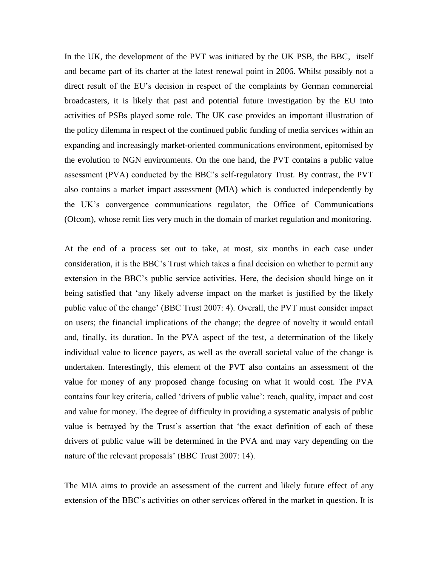In the UK, the development of the PVT was initiated by the UK PSB, the BBC, itself and became part of its charter at the latest renewal point in 2006. Whilst possibly not a direct result of the EU"s decision in respect of the complaints by German commercial broadcasters, it is likely that past and potential future investigation by the EU into activities of PSBs played some role. The UK case provides an important illustration of the policy dilemma in respect of the continued public funding of media services within an expanding and increasingly market-oriented communications environment, epitomised by the evolution to NGN environments. On the one hand, the PVT contains a public value assessment (PVA) conducted by the BBC"s self-regulatory Trust. By contrast, the PVT also contains a market impact assessment (MIA) which is conducted independently by the UK"s convergence communications regulator, the Office of Communications (Ofcom), whose remit lies very much in the domain of market regulation and monitoring.

At the end of a process set out to take, at most, six months in each case under consideration, it is the BBC"s Trust which takes a final decision on whether to permit any extension in the BBC"s public service activities. Here, the decision should hinge on it being satisfied that "any likely adverse impact on the market is justified by the likely public value of the change" (BBC Trust 2007: 4). Overall, the PVT must consider impact on users; the financial implications of the change; the degree of novelty it would entail and, finally, its duration. In the PVA aspect of the test, a determination of the likely individual value to licence payers, as well as the overall societal value of the change is undertaken. Interestingly, this element of the PVT also contains an assessment of the value for money of any proposed change focusing on what it would cost. The PVA contains four key criteria, called "drivers of public value": reach, quality, impact and cost and value for money. The degree of difficulty in providing a systematic analysis of public value is betrayed by the Trust"s assertion that "the exact definition of each of these drivers of public value will be determined in the PVA and may vary depending on the nature of the relevant proposals' (BBC Trust 2007: 14).

The MIA aims to provide an assessment of the current and likely future effect of any extension of the BBC"s activities on other services offered in the market in question. It is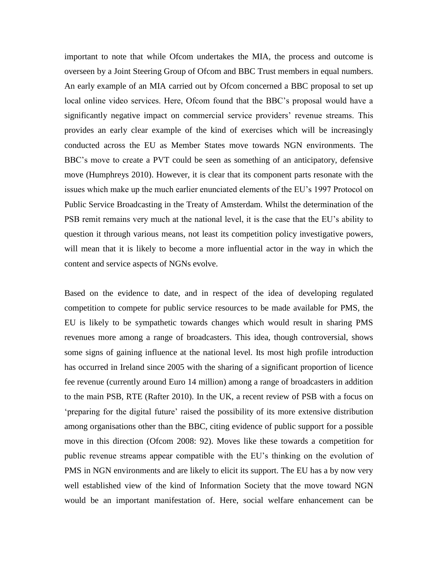important to note that while Ofcom undertakes the MIA, the process and outcome is overseen by a Joint Steering Group of Ofcom and BBC Trust members in equal numbers. An early example of an MIA carried out by Ofcom concerned a BBC proposal to set up local online video services. Here, Ofcom found that the BBC's proposal would have a significantly negative impact on commercial service providers' revenue streams. This provides an early clear example of the kind of exercises which will be increasingly conducted across the EU as Member States move towards NGN environments. The BBC"s move to create a PVT could be seen as something of an anticipatory, defensive move (Humphreys 2010). However, it is clear that its component parts resonate with the issues which make up the much earlier enunciated elements of the EU"s 1997 Protocol on Public Service Broadcasting in the Treaty of Amsterdam. Whilst the determination of the PSB remit remains very much at the national level, it is the case that the EU's ability to question it through various means, not least its competition policy investigative powers, will mean that it is likely to become a more influential actor in the way in which the content and service aspects of NGNs evolve.

Based on the evidence to date, and in respect of the idea of developing regulated competition to compete for public service resources to be made available for PMS, the EU is likely to be sympathetic towards changes which would result in sharing PMS revenues more among a range of broadcasters. This idea, though controversial, shows some signs of gaining influence at the national level. Its most high profile introduction has occurred in Ireland since 2005 with the sharing of a significant proportion of licence fee revenue (currently around Euro 14 million) among a range of broadcasters in addition to the main PSB, RTE (Rafter 2010). In the UK, a recent review of PSB with a focus on "preparing for the digital future" raised the possibility of its more extensive distribution among organisations other than the BBC, citing evidence of public support for a possible move in this direction (Ofcom 2008: 92). Moves like these towards a competition for public revenue streams appear compatible with the EU"s thinking on the evolution of PMS in NGN environments and are likely to elicit its support. The EU has a by now very well established view of the kind of Information Society that the move toward NGN would be an important manifestation of. Here, social welfare enhancement can be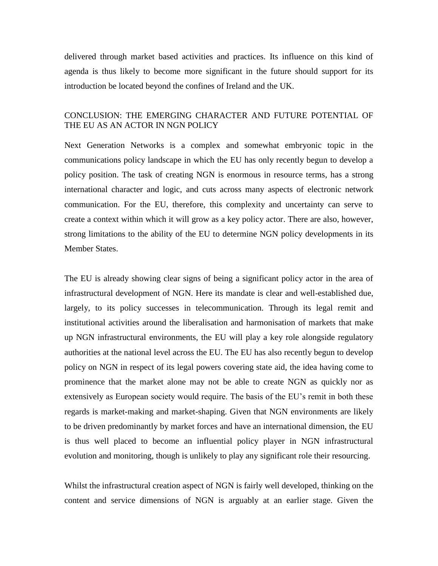delivered through market based activities and practices. Its influence on this kind of agenda is thus likely to become more significant in the future should support for its introduction be located beyond the confines of Ireland and the UK.

# CONCLUSION: THE EMERGING CHARACTER AND FUTURE POTENTIAL OF THE EU AS AN ACTOR IN NGN POLICY

Next Generation Networks is a complex and somewhat embryonic topic in the communications policy landscape in which the EU has only recently begun to develop a policy position. The task of creating NGN is enormous in resource terms, has a strong international character and logic, and cuts across many aspects of electronic network communication. For the EU, therefore, this complexity and uncertainty can serve to create a context within which it will grow as a key policy actor. There are also, however, strong limitations to the ability of the EU to determine NGN policy developments in its Member States.

The EU is already showing clear signs of being a significant policy actor in the area of infrastructural development of NGN. Here its mandate is clear and well-established due, largely, to its policy successes in telecommunication. Through its legal remit and institutional activities around the liberalisation and harmonisation of markets that make up NGN infrastructural environments, the EU will play a key role alongside regulatory authorities at the national level across the EU. The EU has also recently begun to develop policy on NGN in respect of its legal powers covering state aid, the idea having come to prominence that the market alone may not be able to create NGN as quickly nor as extensively as European society would require. The basis of the EU"s remit in both these regards is market-making and market-shaping. Given that NGN environments are likely to be driven predominantly by market forces and have an international dimension, the EU is thus well placed to become an influential policy player in NGN infrastructural evolution and monitoring, though is unlikely to play any significant role their resourcing.

Whilst the infrastructural creation aspect of NGN is fairly well developed, thinking on the content and service dimensions of NGN is arguably at an earlier stage. Given the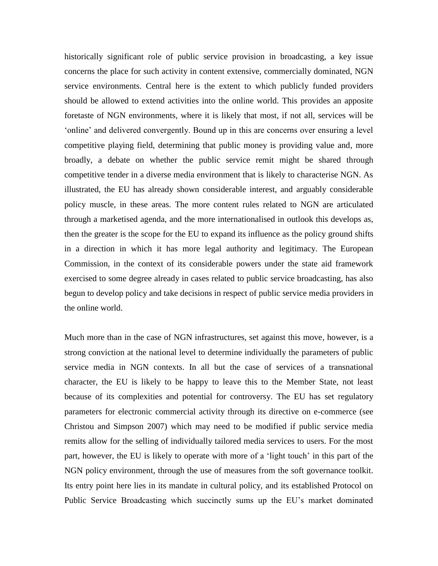historically significant role of public service provision in broadcasting, a key issue concerns the place for such activity in content extensive, commercially dominated, NGN service environments. Central here is the extent to which publicly funded providers should be allowed to extend activities into the online world. This provides an apposite foretaste of NGN environments, where it is likely that most, if not all, services will be "online" and delivered convergently. Bound up in this are concerns over ensuring a level competitive playing field, determining that public money is providing value and, more broadly, a debate on whether the public service remit might be shared through competitive tender in a diverse media environment that is likely to characterise NGN. As illustrated, the EU has already shown considerable interest, and arguably considerable policy muscle, in these areas. The more content rules related to NGN are articulated through a marketised agenda, and the more internationalised in outlook this develops as, then the greater is the scope for the EU to expand its influence as the policy ground shifts in a direction in which it has more legal authority and legitimacy. The European Commission, in the context of its considerable powers under the state aid framework exercised to some degree already in cases related to public service broadcasting, has also begun to develop policy and take decisions in respect of public service media providers in the online world.

Much more than in the case of NGN infrastructures, set against this move, however, is a strong conviction at the national level to determine individually the parameters of public service media in NGN contexts. In all but the case of services of a transnational character, the EU is likely to be happy to leave this to the Member State, not least because of its complexities and potential for controversy. The EU has set regulatory parameters for electronic commercial activity through its directive on e-commerce (see Christou and Simpson 2007) which may need to be modified if public service media remits allow for the selling of individually tailored media services to users. For the most part, however, the EU is likely to operate with more of a "light touch" in this part of the NGN policy environment, through the use of measures from the soft governance toolkit. Its entry point here lies in its mandate in cultural policy, and its established Protocol on Public Service Broadcasting which succinctly sums up the EU"s market dominated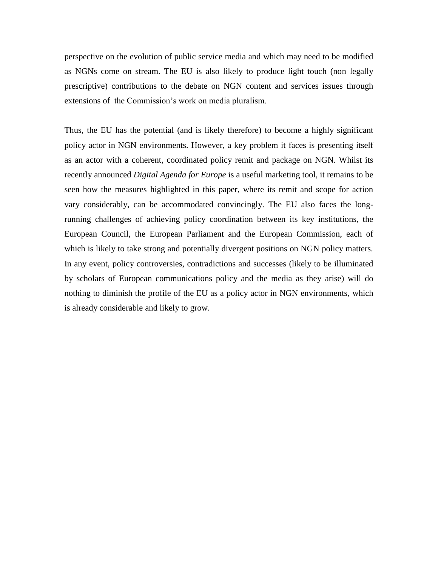perspective on the evolution of public service media and which may need to be modified as NGNs come on stream. The EU is also likely to produce light touch (non legally prescriptive) contributions to the debate on NGN content and services issues through extensions of the Commission's work on media pluralism.

Thus, the EU has the potential (and is likely therefore) to become a highly significant policy actor in NGN environments. However, a key problem it faces is presenting itself as an actor with a coherent, coordinated policy remit and package on NGN. Whilst its recently announced *Digital Agenda for Europe* is a useful marketing tool, it remains to be seen how the measures highlighted in this paper, where its remit and scope for action vary considerably, can be accommodated convincingly. The EU also faces the longrunning challenges of achieving policy coordination between its key institutions, the European Council, the European Parliament and the European Commission, each of which is likely to take strong and potentially divergent positions on NGN policy matters. In any event, policy controversies, contradictions and successes (likely to be illuminated by scholars of European communications policy and the media as they arise) will do nothing to diminish the profile of the EU as a policy actor in NGN environments, which is already considerable and likely to grow.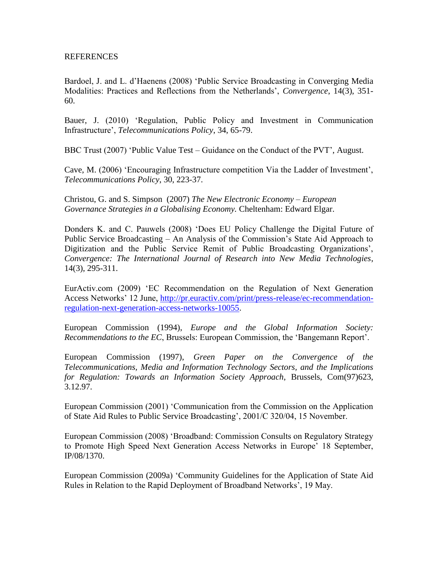### REFERENCES

Bardoel, J. and L. d"Haenens (2008) "Public Service Broadcasting in Converging Media Modalities: Practices and Reflections from the Netherlands", *Convergence*, 14(3), 351- 60.

Bauer, J. (2010) "Regulation, Public Policy and Investment in Communication Infrastructure", *Telecommunications Policy*, 34, 65-79.

BBC Trust (2007) "Public Value Test – Guidance on the Conduct of the PVT", August.

Cave, M. (2006) "Encouraging Infrastructure competition Via the Ladder of Investment", *Telecommunications Policy*, 30, 223-37.

Christou, G. and S. Simpson (2007) *The New Electronic Economy – European Governance Strategies in a Globalising Economy.* Cheltenham: Edward Elgar.

Donders K. and C. Pauwels (2008) "Does EU Policy Challenge the Digital Future of Public Service Broadcasting – An Analysis of the Commission"s State Aid Approach to Digitization and the Public Service Remit of Public Broadcasting Organizations", *Convergence: The International Journal of Research into New Media Technologies*, 14(3), 295-311.

EurActiv.com (2009) "EC Recommendation on the Regulation of Next Generation Access Networks" 12 June, [http://pr.euractiv.com/print/press-release/ec-recommendation](http://pr.euractiv.com/print/press-release/ec-recommendation-regulation-next-generation-access-networks-10055)[regulation-next-generation-access-networks-10055.](http://pr.euractiv.com/print/press-release/ec-recommendation-regulation-next-generation-access-networks-10055)

European Commission (1994), *Europe and the Global Information Society: Recommendations to the EC*, Brussels: European Commission, the "Bangemann Report".

European Commission (1997), *Green Paper on the Convergence of the Telecommunications, Media and Information Technology Sectors, and the Implications for Regulation: Towards an Information Society Approach*, Brussels, Com(97)623, 3.12.97.

European Commission (2001) "Communication from the Commission on the Application of State Aid Rules to Public Service Broadcasting", 2001/C 320/04, 15 November.

European Commission (2008) "Broadband: Commission Consults on Regulatory Strategy to Promote High Speed Next Generation Access Networks in Europe' 18 September, IP/08/1370.

European Commission (2009a) "Community Guidelines for the Application of State Aid Rules in Relation to the Rapid Deployment of Broadband Networks", 19 May.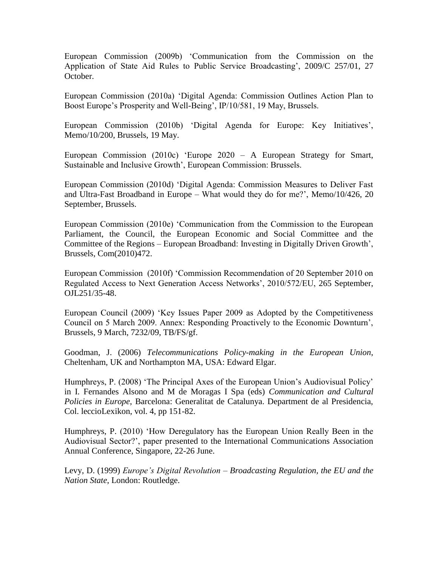European Commission (2009b) "Communication from the Commission on the Application of State Aid Rules to Public Service Broadcasting', 2009/C 257/01, 27 October.

European Commission (2010a) "Digital Agenda: Commission Outlines Action Plan to Boost Europe's Prosperity and Well-Being', IP/10/581, 19 May, Brussels.

European Commission (2010b) 'Digital Agenda for Europe: Key Initiatives', Memo/10/200, Brussels, 19 May.

European Commission (2010c) "Europe 2020 – A European Strategy for Smart, Sustainable and Inclusive Growth", European Commission: Brussels.

European Commission (2010d) "Digital Agenda: Commission Measures to Deliver Fast and Ultra-Fast Broadband in Europe – What would they do for me?", Memo/10/426, 20 September, Brussels.

European Commission (2010e) "Communication from the Commission to the European Parliament, the Council, the European Economic and Social Committee and the Committee of the Regions – European Broadband: Investing in Digitally Driven Growth", Brussels, Com(2010)472.

European Commission (2010f) "Commission Recommendation of 20 September 2010 on Regulated Access to Next Generation Access Networks", 2010/572/EU, 265 September, OJL251/35-48.

European Council (2009) "Key Issues Paper 2009 as Adopted by the Competitiveness Council on 5 March 2009. Annex: Responding Proactively to the Economic Downturn", Brussels, 9 March, 7232/09, TB/FS/gf.

Goodman, J. (2006) *Telecommunications Policy-making in the European Union*, Cheltenham, UK and Northampton MA, USA: Edward Elgar.

Humphreys, P. (2008) 'The Principal Axes of the European Union's Audiovisual Policy' in I. Fernandes Alsono and M de Moragas I Spa (eds) *Communication and Cultural Policies in Europe*, Barcelona: Generalitat de Catalunya. Department de al Presidencia, Col. leccioLexikon, vol. 4, pp 151-82.

Humphreys, P. (2010) "How Deregulatory has the European Union Really Been in the Audiovisual Sector?", paper presented to the International Communications Association Annual Conference, Singapore, 22-26 June.

Levy, D. (1999) *Europe's Digital Revolution* – *Broadcasting Regulation, the EU and the Nation State*, London: Routledge.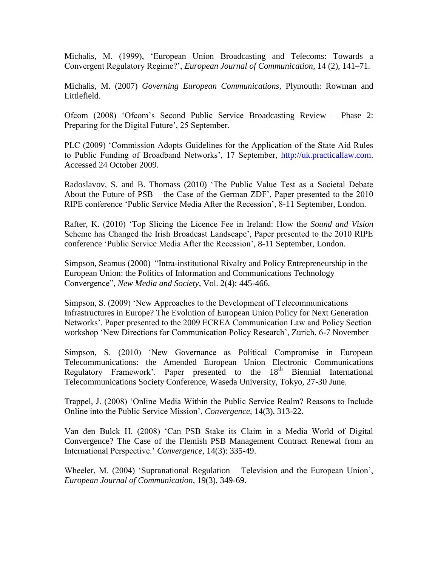Michalis, M. (1999), "European Union Broadcasting and Telecoms: Towards a Convergent Regulatory Regime?", *European Journal of Communication*, 14 (2), 141–71.

Michalis, M. (2007) *Governing European Communications*, Plymouth: Rowman and Littlefield.

Ofcom (2008) "Ofcom"s Second Public Service Broadcasting Review – Phase 2: Preparing for the Digital Future', 25 September.

PLC (2009) "Commission Adopts Guidelines for the Application of the State Aid Rules to Public Funding of Broadband Networks', 17 September, [http://uk.practicallaw.com.](http://uk.practicallaw.com/) Accessed 24 October 2009.

Radoslavov, S. and B. Thomass (2010) "The Public Value Test as a Societal Debate About the Future of PSB – the Case of the German ZDF", Paper presented to the 2010 RIPE conference "Public Service Media After the Recession", 8-11 September, London.

Rafter, K. (2010) "Top Slicing the Licence Fee in Ireland: How the *Sound and Vision* Scheme has Changed the Irish Broadcast Landscape', Paper presented to the 2010 RIPE conference "Public Service Media After the Recession", 8-11 September, London.

Simpson, Seamus (2000) "Intra-institutional Rivalry and Policy Entrepreneurship in the European Union: the Politics of Information and Communications Technology Convergence", *New Media and Society*, Vol. 2(4): 445-466.

Simpson, S. (2009) "New Approaches to the Development of Telecommunications Infrastructures in Europe? The Evolution of European Union Policy for Next Generation Networks". Paper presented to the 2009 ECREA Communication Law and Policy Section workshop "New Directions for Communication Policy Research", Zurich, 6-7 November

Simpson, S. (2010) "New Governance as Political Compromise in European Telecommunications: the Amended European Union Electronic Communications Regulatory Framework'. Paper presented to the  $18<sup>th</sup>$  Biennial International Telecommunications Society Conference, Waseda University, Tokyo, 27-30 June.

Trappel, J. (2008) "Online Media Within the Public Service Realm? Reasons to Include Online into the Public Service Mission", *Convergence*, 14(3), 313-22.

Van den Bulck H. (2008) "Can PSB Stake its Claim in a Media World of Digital Convergence? The Case of the Flemish PSB Management Contract Renewal from an International Perspective." *Convergence*, 14(3): 335-49.

Wheeler, M. (2004) "Supranational Regulation – Television and the European Union", *European Journal of Communication*, 19(3), 349-69.